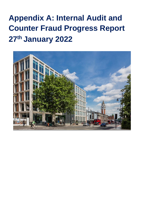# **Appendix A: Internal Audit and Counter Fraud Progress Report 27th January 2022**

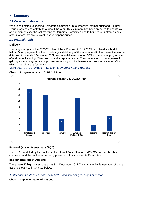## **Summary**

#### *1.1 Purpose of this report*

We are committed to keeping Corporate Committee up to date with Internal Audit and Counter Fraud progress and activity throughout the year. This summary has been prepared to update you on our activity since the last meeting of Corporate Committee and to bring to your attention any other matters that are relevant to your responsibilities.

#### *1.2 Internal Audit*

#### **Delivery**

The progress against the 2021/22 Internal Audit Plan as at 31/12/2021 is outlined in Chart 1 below. Good progress has been made against delivery of the internal audit plan across the year to date. As at the end of December 2021, we have delivered around 60% of the annual programme of audit work including 25% currently at the reporting stage. The cooperation of management in gaining access to systems and process remains good. Implementation rates remain over 90%, which is best in class for the sector.

More details are provided in Section 3: '*Internal Audit Progress'.*

#### **Chart 1. Progress against 2021/22 IA Plan**



#### **External Quality Assessment (EQA)**

The EQA mandated by the Public Sector Internal Audit Standards (PSIAS) exercise has been completed and the final report is being presented at this Corporate Committee.

#### **Implementation of Actions**

There were 47 high risk actions as at 31st December 2021.The status of implementation of these actions is outlined in Chart 2. below:

*Further detail in Annex A: Follow Up: Status of outstanding management actions.*

**Chart 2. Implementation of Actions**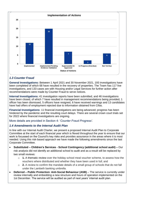

## *1.3 Counter Fraud*

**General Investigations:** Between 1 April 2021 and 30 November 2021, 193 investigations have been completed of which 68 have resulted in the recovery of properties. The Team has 117 live investigations, and 133 cases are with Housing and/or Legal Services for further action after recommendations were made by Counter Fraud to serve notices.

**Internal Investigations:** 41 investigation reports have been submitted, and 46 investigations have been closed, of which 7 have resulted in management recommendations being provided, 1 officer has been dismissed, 5 officers have resigned, 6 have received warnings and 13 candidates have had offers of employment rejected due to information obtained from Cifas.

**Financial Investigations:** 11 financial investigations are being advanced; progress has been hindered by the pandemic and the resulting court delays. There are several crown court trials set for 2022 where financial investigations are ongoing.

More details are provided in Section 4: '*Counter Fraud Progress'.*

## *1.4 Amendments to the Internal Audit Plan*

In line with our Internal Audit Charter, we present a proposed Internal Audit Plan to Corporate Committee at the start of each financial year which is flexed throughout the year to ensure that our work is focussed on the Council's key risks and provides assurance in the areas where it is most needed. Using this risk-based approach we have made the following amendments since the last Corporate Committee.

- **Substituted – Children's Services - School Contingency (additional school audit) –** Our risk analysis did not identify an additional school to audit and as a result will be replaced by two small reviews:
	- o **1.** A thematic review over the holiday school meal voucher scheme, to assess how the vouchers where distributed and whether they have been used in full; and
	- o **2.** A review to confirm the mandate details of a small group of schools that do not fall under the Lambeth banking umbrella.
- **Deferred Public Protection: Anti-Social Behaviour (ASB)** The service is currently under review internally and embedding a new structure and hours of operation implemented on the 1st December. The service will be audited as part of next years' internal audit plan.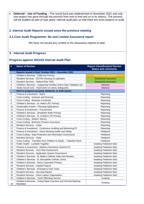**Deferred – Use of Funding** – The social fund was implemented in November 2021 and only one project has gone through the process from end to end and so in its infancy. The process will be audited as part of next years' internal audit plan so that there are more projects to audit.

*2. Internal Audit Reports issued since the previous meeting*

#### *2.1.Core Audit Programme: No and Limited Assurance report*

We have not issued any Limited or No Assurance reports to date.

## **3. Internal Audit Progress**

#### **Progress against 2021/22 Internal Audit Plan**

| #              | <b>Name of Review</b>                                                             | <b>Report Classification/ Review</b><br><b>Status and comments</b> |  |  |  |  |  |
|----------------|-----------------------------------------------------------------------------------|--------------------------------------------------------------------|--|--|--|--|--|
|                | Reports issued in final: October 2021 - December 2021                             |                                                                    |  |  |  |  |  |
| 1              | Children's Services - Telferscot Primary                                          | <b>Reasonable Assurance</b>                                        |  |  |  |  |  |
| $\overline{c}$ | Resident Services - CETRA Housing Co-operative                                    | <b>Substantial Assurance</b>                                       |  |  |  |  |  |
| 3              | Resident Services - Holland Rise TMO                                              | <b>Substantial Assurance</b>                                       |  |  |  |  |  |
| 4              | Children's Services - Supporting Families Grant Claim Validation Q3               | Advisory                                                           |  |  |  |  |  |
| 5              | Adults Social Care - Deprivation of Liberty Safeguards                            | Advisory                                                           |  |  |  |  |  |
|                | Work in progress (scoping, fieldwork, or draft report)                            |                                                                    |  |  |  |  |  |
| 6              | Finance & Investment - Matrix                                                     | Reporting                                                          |  |  |  |  |  |
| $\overline{7}$ | Cross-Cutting - Inclusion and Diversity                                           | Reporting                                                          |  |  |  |  |  |
| 8              | <b>Cross-Cutting - Business Continuity</b>                                        | Reporting                                                          |  |  |  |  |  |
| 9              | Children's Services - St. Helen's RC Primary                                      | Reporting                                                          |  |  |  |  |  |
| 10             | Sustainable Growth - Planning Applications                                        | Reporting                                                          |  |  |  |  |  |
| 11             | Finance & Investment - Procurement                                                | Reporting                                                          |  |  |  |  |  |
| 12             | Children's Services - Streatham Wells Primary                                     | Reporting                                                          |  |  |  |  |  |
| 13             | Children's Services - St. Andrew's CE Primary                                     | Reporting                                                          |  |  |  |  |  |
| 14             | Cross-Cutting - Modern Slavery                                                    | Reporting                                                          |  |  |  |  |  |
| 15             | Cross-Cutting - Business Process Assurance                                        | Reporting                                                          |  |  |  |  |  |
| 16             | Resident Services - Cyber                                                         | Reporting                                                          |  |  |  |  |  |
| 17             | Finance & Investment - Continuous Auditing and Monitoring P1                      | Reporting                                                          |  |  |  |  |  |
| 18             | Finance & Investment - Home Working Health and Safety                             | Fieldwork                                                          |  |  |  |  |  |
| 19             | Cross-Cutting - Data Protection and Information Governance                        | <b>Fieldwork</b>                                                   |  |  |  |  |  |
| 20             | <b>Resident Services - Voids</b>                                                  | <b>Fieldwork</b>                                                   |  |  |  |  |  |
| 21             | Cross-Cutting - Transition from Children to Adults - Tripartite Panel             | Fieldwork                                                          |  |  |  |  |  |
| 22             | Public Health - Lambeth Together                                                  | Awaiting Fieldwork Start                                           |  |  |  |  |  |
| 23             | Finance & Investment - Redress Assurance Scheme P2                                | <b>Awaiting Fieldwork Start</b>                                    |  |  |  |  |  |
| 24             | <b>Resident Services - Tech Risk Assessment</b>                                   | <b>Awaiting Fieldwork Start</b>                                    |  |  |  |  |  |
| 25             | <b>Resident Services - Application System Governance</b>                          | <b>Awaiting Fieldwork Start</b>                                    |  |  |  |  |  |
| 26             | Children's Services - St. Bede's Catholic Infant and Nursery                      | <b>Awaiting Fieldwork Start</b>                                    |  |  |  |  |  |
| 27             | Children's Services - St. Bernadette Catholic Junior                              | <b>Awaiting Fieldwork Start</b>                                    |  |  |  |  |  |
| 28             | Children's Services - Henry Cavendish Primary                                     | <b>Awaiting Fieldwork Start</b>                                    |  |  |  |  |  |
| 29             | <b>Resident Services - Capital Projects</b>                                       | <b>Awaiting Fieldwork Start</b>                                    |  |  |  |  |  |
| 30             | Children's Services - Emergency Duty Team                                         | <b>Awaiting Fieldwork Start</b>                                    |  |  |  |  |  |
| 31             | <b>Resident Services - Housing Repairs</b>                                        | <b>Awaiting Fieldwork Start</b>                                    |  |  |  |  |  |
| 32             | Resident Services - Direct Labour Organisation                                    | <b>Awaiting Fieldwork Start</b>                                    |  |  |  |  |  |
| 33             | Children's Services - Youth Offending Service                                     | Scoping                                                            |  |  |  |  |  |
| 34             | Children's Services - School Meal Vouchers and Schools Banking<br><b>Mandates</b> | Scoping                                                            |  |  |  |  |  |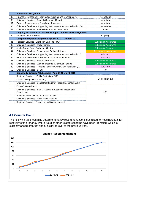|                | <b>Scheduled/Not yet due</b>                                                       |                              |  |  |  |  |  |
|----------------|------------------------------------------------------------------------------------|------------------------------|--|--|--|--|--|
| 35             | Finance & Investment - Continuous Auditing and Monitoring P2<br>Not yet due        |                              |  |  |  |  |  |
| 36             | Children's Services - Schools Summary Report                                       | Not yet due                  |  |  |  |  |  |
| 37             | Finance & Investment - Disciplinary Processes                                      | Not yet due                  |  |  |  |  |  |
| 38             | Children's Services - Supporting Families Grant Claim Validation Q4                | Not yet due                  |  |  |  |  |  |
| 39             | Children's Services - Archbishop Sumner CE Primary                                 | On hold                      |  |  |  |  |  |
|                | Ongoing assurance and advisory support, and service management                     |                              |  |  |  |  |  |
| 40             | <b>Implementation Reviews</b>                                                      | Ongoing                      |  |  |  |  |  |
|                | Completed reports/assignments (April 2021 - October 2021)                          |                              |  |  |  |  |  |
| 41             | Resident Services - Blenheim Gardens RMO                                           | <b>Substantial Assurance</b> |  |  |  |  |  |
| 42             | Children's Services - Reay Primary                                                 | <b>Substantial Assurance</b> |  |  |  |  |  |
| 43             | Adults Social Care - Budgetary Control                                             | <b>Substantial Assurance</b> |  |  |  |  |  |
| 44             | Children's Services - St. Andrew's Catholic Primary<br><b>Reasonable Assurance</b> |                              |  |  |  |  |  |
| 45             | Children's Services - Supporting Families Grant Claim Validation Q2                | Advisory                     |  |  |  |  |  |
| 46             | Finance & Investment - Redress Assurance Scheme P1                                 | Advisory                     |  |  |  |  |  |
| 47             | Children's Services - Hitherfield Primary                                          | <b>Substantial Assurance</b> |  |  |  |  |  |
| 48             | Children's Services - Woodmansterne (all through) School                           | <b>Substantial Assurance</b> |  |  |  |  |  |
| 49             | Children's Services - Troubled Families Grant Claim Validation Q1                  | Advisory                     |  |  |  |  |  |
| 50             | Children's Services - SFVS<br>N/A                                                  |                              |  |  |  |  |  |
|                | Cancelled / Deferred / Substituted (April 2021- July 2021)                         |                              |  |  |  |  |  |
| $\blacksquare$ | <b>Resident Services - Public Protection: ASB</b>                                  |                              |  |  |  |  |  |
|                | Cross-Cutting - Use of funding                                                     | See section 1.4              |  |  |  |  |  |
|                | Children's Services - School Contingency (additional school audit)                 |                              |  |  |  |  |  |
| $\sim$         | <b>Cross-Cutting -Brexit</b>                                                       |                              |  |  |  |  |  |
|                | Children's Services - SEND (Special Educational Needs and<br>Disabilities)         | N/A                          |  |  |  |  |  |
|                | Sustainable Growth - Commercial entities                                           |                              |  |  |  |  |  |
| $\blacksquare$ | Children's Services - Pupil Place Planning                                         |                              |  |  |  |  |  |
|                | Resident Services - Recycling and Waste contract                                   |                              |  |  |  |  |  |

## **4.1 Counter Fraud**

The following table contains details of tenancy recommendations submitted to Housing/Legal for recovery of the tenancy where fraud or other related concerns have been identified, which is currently ahead of target and at a similar level to the previous year.

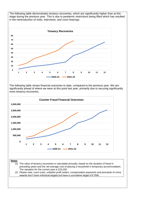The following table demonstrates tenancy recoveries, which are significantly higher than at this stage during the previous year. This is due to pandemic restrictions being lifted which has resulted in the reintroduction of visits, interviews, and court hearings.



The following table shows financial outcomes to date, compared to the previous year. We are significantly ahead of where we were at this point last year, primarily due to securing significantly more tenancy recoveries.



The valuation for the current year is £25,200

(2) Please note, court costs, unlawful profit orders, compensation payments and proceeds of crime awards don't have individual targets but have a cumulative target of £150k.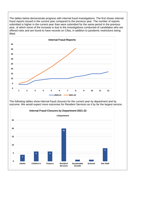The tables below demonstrate progress with internal fraud investigations. The first shows internal fraud reports issued in the current year compared to the previous year. The number of reports submitted is higher in the current year than were submitted for the same period in the previous year, of which some of the increase is due to the investigations conducted of candidates who are offered roles and are found to have records on Cifas, in addition to pandemic restrictions being lifted.



**Services**

**Sustainable Growth**

**Schools Not Staff**

**0**

**Adults Children's Finance Resident**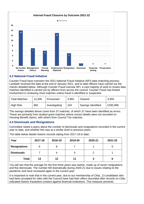

## **4.2 National Fraud Initiative**

Counter Fraud have overseen the 2021 National Fraud Initiative (NFI) data-matching process; Lambeth received the data at the end of January 2021, and to date officers have carried out the checks detailed below. Although Counter Fraud oversee NFI, a vast majority of work to review data matches identified is carried out by officers from across the council. Counter Fraud has limited involvement in reviewing most matches unless fraud is identified or suspected.

| <b>Total Matches</b> | 12,409 | Processed     | 3,993 | Cleared            | 3,955    |
|----------------------|--------|---------------|-------|--------------------|----------|
| <b>High Risk</b>     | 682    | Investigating | 104   | Savings Identified | £330,998 |

The savings detailed above come from 37 matches, of which 37 have been identified as errors. These are primarily from student grant matches where correct details were not recorded on Housing Benefit claims, with others from Council Tax matches.

## **4.3 Dismissals and Resignations**

Committee raised a query about the number of dismissals and resignations recorded in the current year to date, and whether this was at a similar level to previous years.

The table below details historic records dating from 2017-18 to date:

| Year                | 2017-18 | 2018-19 | 2019-20 | 2020-21 | 2021-22 |
|---------------------|---------|---------|---------|---------|---------|
| <b>Resignations</b> | 6       |         |         |         | 5       |
| <b>Dismissals</b>   |         |         |         |         |         |
| <b>Total</b>        | 13      | 12      |         |         | 6       |

You will see that the average for the first three years was twelve, made up of seven resignations and five dismissals. The number fell dramatically during 2020-21 due to issues relating to the pandemic and have increased again in the current year.

It is important to note that in the current year, due to our membership of Cifas, 13 candidates who had been accepted for roles with the Council have had their offers rescinded after records on Cifas indicated historic fraudulent conduct against financial institutions. This measure prevents